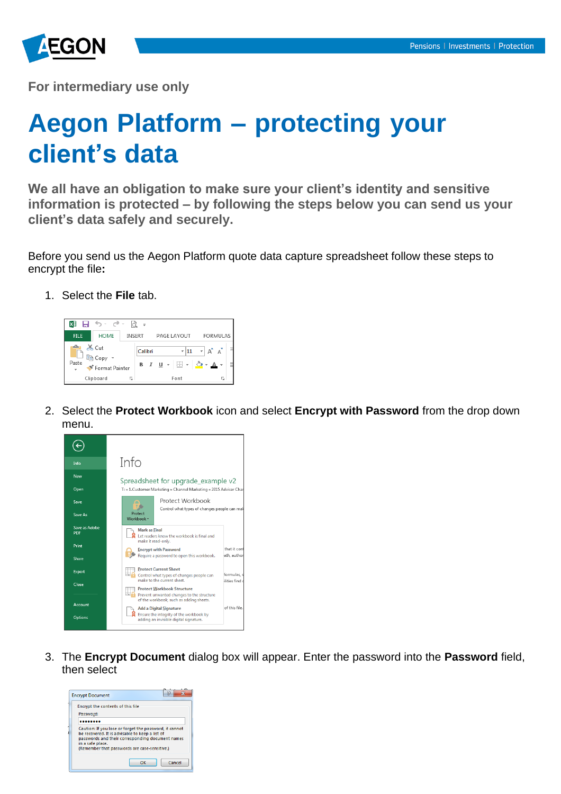

**For intermediary use only**

## **Aegon Platform – protecting your client's data**

**We all have an obligation to make sure your client's identity and sensitive information is protected – by following the steps below you can send us your client's data safely and securely.**

Before you send us the Aegon Platform quote data capture spreadsheet follow these steps to encrypt the file**:**

1. Select the **File** tab.



2. Select the **Protect Workbook** icon and select **Encrypt with Password** from the drop down menu.



3. The **Encrypt Document** dialog box will appear. Enter the password into the **Password** field, then select

| <b>Encrypt Document</b>                                                                                                                                                                                                            | 5      |
|------------------------------------------------------------------------------------------------------------------------------------------------------------------------------------------------------------------------------------|--------|
| Encrypt the contents of this file<br>Password:                                                                                                                                                                                     |        |
| Caution: If you lose or forget the password, it cannot<br>be recovered. It is advisable to keep a list of<br>passwords and their corresponding document names<br>in a safe place.<br>(Remember that passwords are case-sensitive.) |        |
| OK                                                                                                                                                                                                                                 | Cancel |